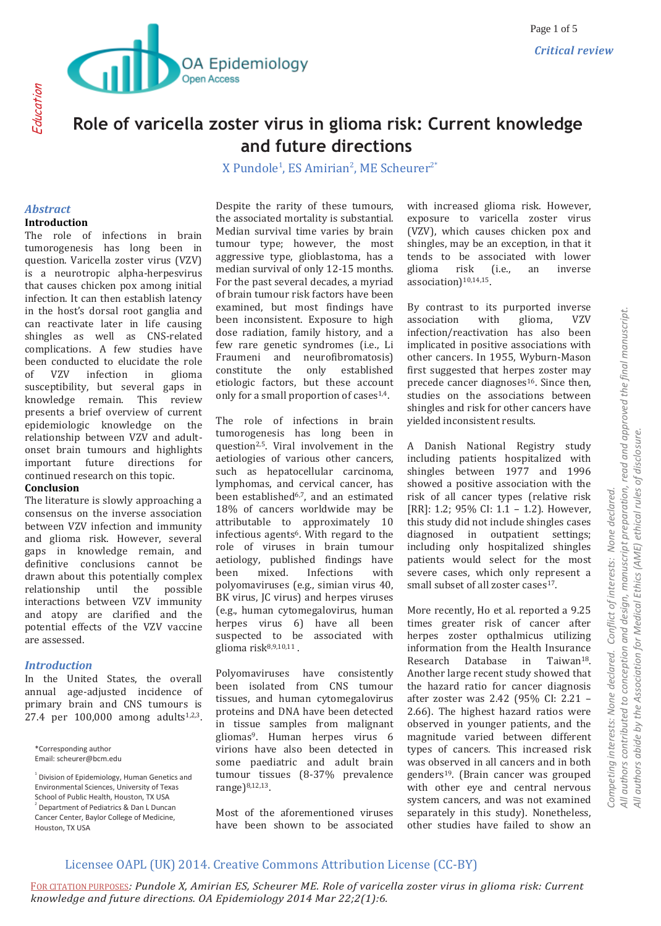

# **Role of varicella zoster virus in glioma risk: Current knowledge and future directions**

X Pundole<sup>1</sup>, ES Amirian<sup>2</sup>, ME Scheurer<sup>2\*</sup>

#### *Abstract* **Introduction**

The role of infections in brain tumorogenesis has long been in question. Varicella zoster virus (VZV) is a neurotropic alpha-herpesvirus that causes chicken pox among initial infection. It can then establish latency in the host's dorsal root ganglia and can reactivate later in life causing shingles as well as CNS-related complications. A few studies have been conducted to elucidate the role of VZV infection in glioma susceptibility, but several gaps in knowledge remain. This review presents a brief overview of current epidemiologic knowledge on the relationship between VZV and adultonset brain tumours and highlights important future directions for continued research on this topic.

### **Conclusion**

The literature is slowly approaching a consensus on the inverse association between VZV infection and immunity and glioma risk. However, several gaps in knowledge remain, and definitive conclusions cannot be drawn about this potentially complex relationship until the possible interactions between VZV immunity and atopy are clarified and the potential effects of the VZV vaccine are assessed.

### *Introduction*

In the United States, the overall annual age-adjusted incidence of primary brain and CNS tumours is 27.4 per 100,000 among adults<sup>1,2,3</sup>.

\*Corresponding author Email: scheurer@bcm.edu Despite the rarity of these tumours, the associated mortality is substantial. Median survival time varies by brain tumour type; however, the most aggressive type, glioblastoma, has a median survival of only 12-15 months. For the past several decades, a myriad of brain tumour risk factors have been examined, but most findings have been inconsistent. Exposure to high dose radiation, family history, and a few rare genetic syndromes (i.e., Li Fraumeni and neurofibromatosis) constitute the only established etiologic factors, but these account only for a small proportion of cases $1.4$ .

The role of infections in brain tumorogenesis has long been in question2,5. Viral involvement in the aetiologies of various other cancers, such as hepatocellular carcinoma, lymphomas, and cervical cancer, has been established<sup>6,7</sup>, and an estimated 18% of cancers worldwide may be attributable to approximately 10 infectious agents<sup>6</sup>. With regard to the role of viruses in brain tumour aetiology, published findings have been mixed. Infections with polyomaviruses (e.g., simian virus 40, BK virus, JC virus) and herpes viruses (e.g., human cytomegalovirus, human herpes virus 6) have all been suspected to be associated with glioma risk $8,9,10,11$ .

Polyomaviruses have consistently been isolated from CNS tumour tissues, and human cytomegalovirus proteins and DNA have been detected in tissue samples from malignant gliomas9. Human herpes virus 6 virions have also been detected in some paediatric and adult brain tumour tissues (8-37% prevalence range)8,12,13.

Most of the aforementioned viruses have been shown to be associated

with increased glioma risk. However, exposure to varicella zoster virus (VZV), which causes chicken pox and shingles, may be an exception, in that it tends to be associated with lower glioma risk (i.e., an inverse association)<sup>10,14,15</sup>.

By contrast to its purported inverse association with glioma, VZV infection/reactivation has also been implicated in positive associations with other cancers. In 1955, Wyburn-Mason first suggested that herpes zoster may precede cancer diagnoses<sup>16</sup>. Since then, studies on the associations between shingles and risk for other cancers have yielded inconsistent results.

A Danish National Registry study including patients hospitalized with shingles between 1977 and 1996 showed a positive association with the risk of all cancer types (relative risk [RR]: 1.2; 95% CI: 1.1 - 1.2). However, this study did not include shingles cases diagnosed in outpatient settings; including only hospitalized shingles patients would select for the most severe cases, which only represent a small subset of all zoster cases<sup>17</sup>.

More recently, Ho et al. reported a 9.25 times greater risk of cancer after herpes zoster opthalmicus utilizing information from the Health Insurance Research Database in Taiwan18. Another large recent study showed that the hazard ratio for cancer diagnosis after zoster was 2.42 (95% CI: 2.21 – 2.66). The highest hazard ratios were observed in younger patients, and the magnitude varied between different types of cancers. This increased risk was observed in all cancers and in both genders19. (Brain cancer was grouped with other eye and central nervous system cancers, and was not examined separately in this study). Nonetheless, other studies have failed to show an

# Licensee OAPL (UK) 2014. Creative Commons Attribution License (CC-BY)

<sup>&</sup>lt;sup>1</sup> Division of Epidemiology, Human Genetics and Environmental Sciences, University of Texas School of Public Health, Houston, TX USA 2 Department of Pediatrics & Dan L Duncan Cancer Center, Baylor College of Medicine,

Houston, TX USA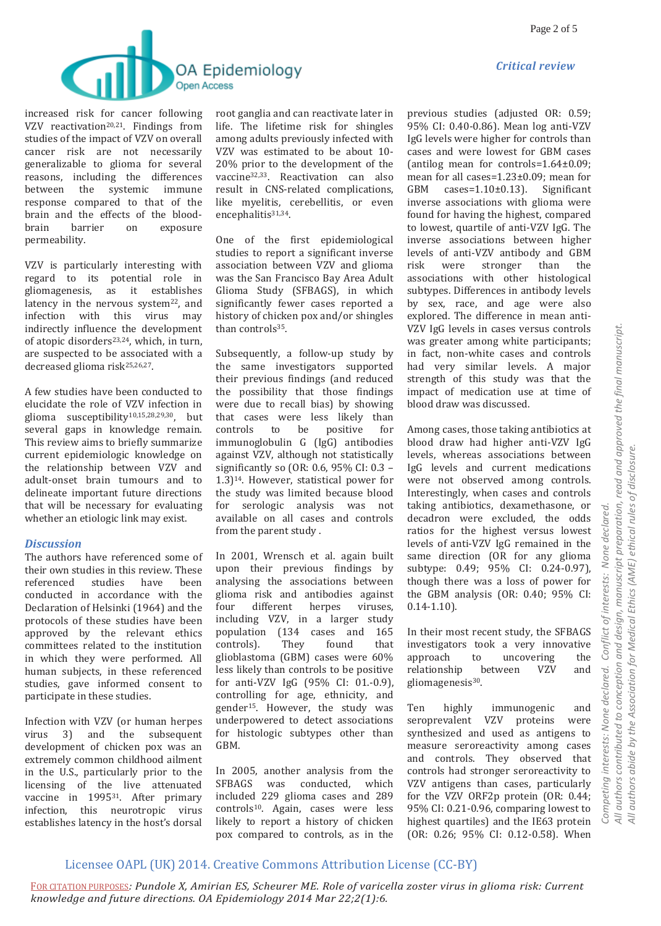



increased risk for cancer following VZV reactivation<sup>20,21</sup>. Findings from studies of the impact of VZV on overall cancer risk are not necessarily generalizable to glioma for several reasons, including the differences between the systemic immune response compared to that of the brain and the effects of the bloodbrain barrier on exposure permeability.

VZV is particularly interesting with regard to its potential role in gliomagenesis, as it establishes latency in the nervous system<sup>22</sup>, and infection with this virus may indirectly influence the development of atopic disorders<sup>23,24</sup>, which, in turn, are suspected to be associated with a decreased glioma risk25,26,27.

A few studies have been conducted to elucidate the role of VZV infection in glioma susceptibility10,15,28,29,30, but several gaps in knowledge remain. This review aims to briefly summarize current epidemiologic knowledge on the relationship between VZV and adult-onset brain tumours and to delineate important future directions that will be necessary for evaluating whether an etiologic link may exist.

### *Discussion*

The authors have referenced some of their own studies in this review. These referenced studies have been conducted in accordance with the Declaration of Helsinki (1964) and the protocols of these studies have been approved by the relevant ethics committees related to the institution in which they were performed. All human subjects, in these referenced studies, gave informed consent to participate in these studies.

Infection with VZV (or human herpes virus 3) and the subsequent development of chicken pox was an extremely common childhood ailment in the U.S., particularly prior to the licensing of the live attenuated vaccine in 1995<sup>31</sup>. After primary infection, this neurotropic virus establishes latency in the host's dorsal root ganglia and can reactivate later in life. The lifetime risk for shingles among adults previously infected with VZV was estimated to be about 10- 20% prior to the development of the vaccine32,33. Reactivation can also result in CNS-related complications, like myelitis, cerebellitis, or even encephalitis<sup>31,34</sup>.

One of the first epidemiological studies to report a significant inverse association between VZV and glioma was the San Francisco Bay Area Adult Glioma Study (SFBAGS), in which significantly fewer cases reported a history of chicken pox and/or shingles than controls<sup>35</sup>.

Subsequently, a follow-up study by the same investigators supported their previous findings (and reduced the possibility that those findings were due to recall bias) by showing that cases were less likely than controls to be positive for immunoglobulin G (IgG) antibodies against VZV, although not statistically significantly so (OR: 0.6, 95% CI: 0.3 – 1.3)14. However, statistical power for the study was limited because blood for serologic analysis was not available on all cases and controls from the parent study .

In 2001, Wrensch et al. again built upon their previous findings by analysing the associations between glioma risk and antibodies against four different herpes viruses, including VZV, in a larger study population (134 cases and 165 controls). They found that glioblastoma (GBM) cases were 60% less likely than controls to be positive for anti-VZV IgG (95% CI: 01.-0.9), controlling for age, ethnicity, and gender15. However, the study was underpowered to detect associations for histologic subtypes other than GBM.

In 2005, another analysis from the SFBAGS was conducted, which included 229 glioma cases and 289 controls10. Again, cases were less likely to report a history of chicken pox compared to controls, as in the

previous studies (adjusted OR: 0.59; 95% CI: 0.40-0.86). Mean log anti-VZV IgG levels were higher for controls than cases and were lowest for GBM cases (antilog mean for controls=1.64±0.09; mean for all cases=1.23±0.09; mean for GBM cases=1.10±0.13). Significant inverse associations with glioma were found for having the highest, compared to lowest, quartile of anti-VZV IgG. The inverse associations between higher levels of anti-VZV antibody and GBM risk were stronger than the associations with other histological subtypes. Differences in antibody levels by sex, race, and age were also explored. The difference in mean anti-VZV IgG levels in cases versus controls was greater among white participants; in fact, non-white cases and controls had very similar levels. A major strength of this study was that the impact of medication use at time of blood draw was discussed.

Among cases, those taking antibiotics at blood draw had higher anti-VZV IgG levels, whereas associations between IgG levels and current medications were not observed among controls. Interestingly, when cases and controls taking antibiotics, dexamethasone, or decadron were excluded, the odds ratios for the highest versus lowest levels of anti-VZV IgG remained in the same direction (OR for any glioma subtype: 0.49; 95% CI: 0.24-0.97), though there was a loss of power for the GBM analysis (OR: 0.40; 95% CI:  $0.14 - 1.10$ .

In their most recent study, the SFBAGS investigators took a very innovative approach to uncovering the relationship between VZV and gliomagenesis<sup>30</sup>.

Ten highly immunogenic and seroprevalent VZV proteins were synthesized and used as antigens to measure seroreactivity among cases and controls. They observed that controls had stronger seroreactivity to VZV antigens than cases, particularly for the VZV ORF2p protein (OR: 0.44; 95% CI: 0.21-0.96, comparing lowest to highest quartiles) and the IE63 protein (OR: 0.26; 95% CI: 0.12-0.58). When

# Licensee OAPL (UK) 2014. Creative Commons Attribution License (CC-BY)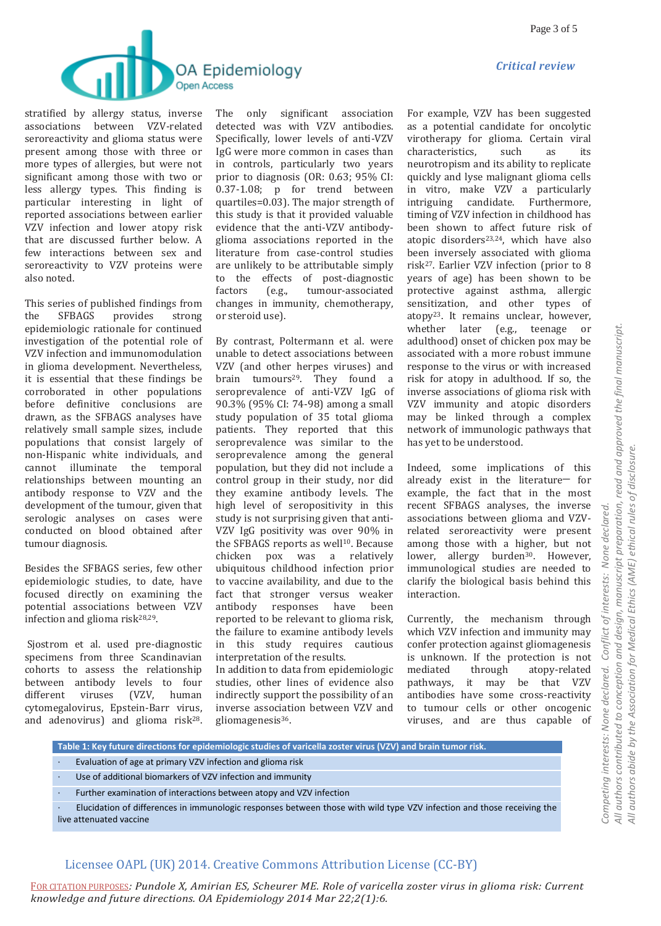



stratified by allergy status, inverse associations between VZV-related seroreactivity and glioma status were present among those with three or more types of allergies, but were not significant among those with two or less allergy types. This finding is particular interesting in light of reported associations between earlier VZV infection and lower atopy risk that are discussed further below. A few interactions between sex and seroreactivity to VZV proteins were also noted.

This series of published findings from the SFBAGS provides strong epidemiologic rationale for continued investigation of the potential role of VZV infection and immunomodulation in glioma development. Nevertheless, it is essential that these findings be corroborated in other populations before definitive conclusions are drawn, as the SFBAGS analyses have relatively small sample sizes, include populations that consist largely of non-Hispanic white individuals, and cannot illuminate the temporal relationships between mounting an antibody response to VZV and the development of the tumour, given that serologic analyses on cases were conducted on blood obtained after tumour diagnosis.

Besides the SFBAGS series, few other epidemiologic studies, to date, have focused directly on examining the potential associations between VZV infection and glioma risk $28,29$ .

Sjostrom et al. used pre-diagnostic specimens from three Scandinavian cohorts to assess the relationship between antibody levels to four different viruses (VZV, human cytomegalovirus, Epstein-Barr virus, and adenovirus) and glioma risk28.

The only significant association detected was with VZV antibodies. Specifically, lower levels of anti-VZV IgG were more common in cases than in controls, particularly two years prior to diagnosis (OR: 0.63; 95% CI: 0.37-1.08; p for trend between quartiles=0.03). The major strength of this study is that it provided valuable evidence that the anti-VZV antibodyglioma associations reported in the literature from case-control studies are unlikely to be attributable simply to the effects of post-diagnostic factors (e.g., tumour-associated changes in immunity, chemotherapy, or steroid use).

By contrast, Poltermann et al. were unable to detect associations between VZV (and other herpes viruses) and brain tumours<sup>29</sup>. They found a seroprevalence of anti-VZV IgG of 90.3% (95% CI: 74-98) among a small study population of 35 total glioma patients. They reported that this seroprevalence was similar to the seroprevalence among the general population, but they did not include a control group in their study, nor did they examine antibody levels. The high level of seropositivity in this study is not surprising given that anti-VZV IgG positivity was over 90% in the SFBAGS reports as well<sup>10</sup>. Because chicken pox was a relatively ubiquitous childhood infection prior to vaccine availability, and due to the fact that stronger versus weaker antibody responses have been reported to be relevant to glioma risk, the failure to examine antibody levels in this study requires cautious interpretation of the results. In addition to data from epidemiologic

studies, other lines of evidence also indirectly support the possibility of an inverse association between VZV and gliomagenesis36.

For example, VZV has been suggested as a potential candidate for oncolytic virotherapy for glioma. Certain viral characteristics, such as its neurotropism and its ability to replicate quickly and lyse malignant glioma cells in vitro, make VZV a particularly intriguing candidate. Furthermore, timing of VZV infection in childhood has been shown to affect future risk of atopic disorders23,24, which have also been inversely associated with glioma risk27. Earlier VZV infection (prior to 8 years of age) has been shown to be protective against asthma, allergic sensitization, and other types of atopy23. It remains unclear, however, whether later (e.g., teenage or adulthood) onset of chicken pox may be associated with a more robust immune response to the virus or with increased risk for atopy in adulthood. If so, the inverse associations of glioma risk with VZV immunity and atopic disorders may be linked through a complex network of immunologic pathways that has yet to be understood.

Indeed, some implications of this already exist in the literature─ for example, the fact that in the most recent SFBAGS analyses, the inverse associations between glioma and VZVrelated seroreactivity were present among those with a higher, but not lower, allergy burden<sup>30</sup>. However, immunological studies are needed to clarify the biological basis behind this interaction.

Currently, the mechanism through which VZV infection and immunity may confer protection against gliomagenesis is unknown. If the protection is not mediated through atopy-related pathways, it may be that VZV antibodies have some cross-reactivity to tumour cells or other oncogenic viruses, and are thus capable of

**Table 1: Key future directions for epidemiologic studies of varicella zoster virus (VZV) and brain tumor risk.**

- Evaluation of age at primary VZV infection and glioma risk
- · Use of additional biomarkers of VZV infection and immunity
- · Further examination of interactions between atopy and VZV infection

· Elucidation of differences in immunologic responses between those with wild type VZV infection and those receiving the live attenuated vaccine

### Licensee OAPL (UK) 2014. Creative Commons Attribution License (CC-BY)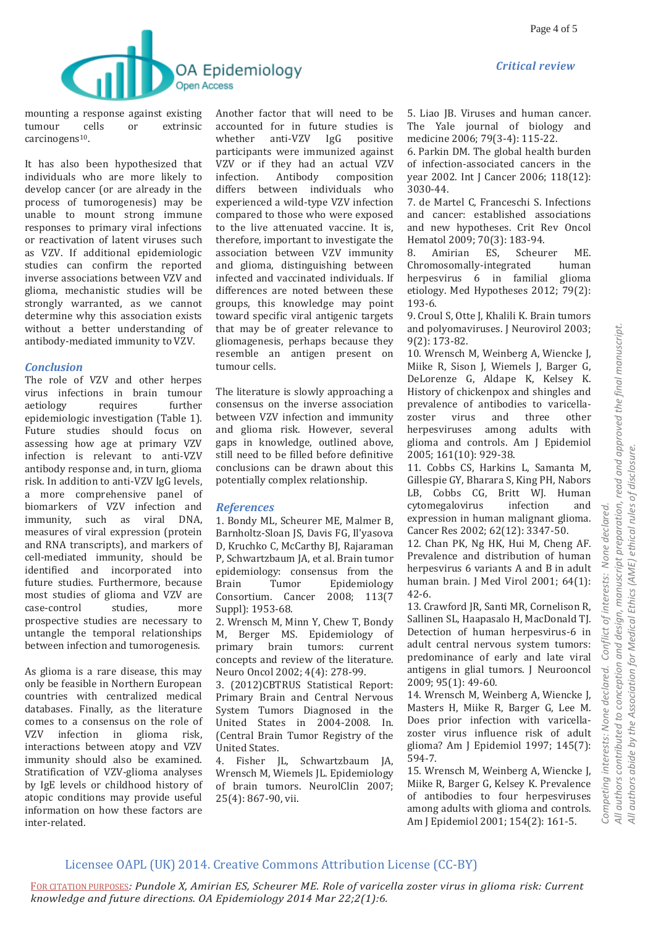

mounting a response against existing tumour cells or extrinsic carcinogens<sup>10</sup>.

It has also been hypothesized that individuals who are more likely to develop cancer (or are already in the process of tumorogenesis) may be unable to mount strong immune responses to primary viral infections or reactivation of latent viruses such as VZV. If additional epidemiologic studies can confirm the reported inverse associations between VZV and glioma, mechanistic studies will be strongly warranted, as we cannot determine why this association exists without a better understanding of antibody-mediated immunity to VZV.

### *Conclusion*

The role of VZV and other herpes virus infections in brain tumour aetiology requires further epidemiologic investigation (Table 1). Future studies should focus on assessing how age at primary VZV infection is relevant to anti-VZV antibody response and, in turn, glioma risk. In addition to anti-VZV IgG levels, a more comprehensive panel of biomarkers of VZV infection and immunity, such as viral DNA, measures of viral expression (protein and RNA transcripts), and markers of cell-mediated immunity, should be identified and incorporated into future studies. Furthermore, because most studies of glioma and VZV are case-control studies, more prospective studies are necessary to untangle the temporal relationships between infection and tumorogenesis.

As glioma is a rare disease, this may only be feasible in Northern European countries with centralized medical databases. Finally, as the literature comes to a consensus on the role of VZV infection in glioma risk, interactions between atopy and VZV immunity should also be examined. Stratification of VZV-glioma analyses by IgE levels or childhood history of atopic conditions may provide useful information on how these factors are inter-related.

Another factor that will need to be accounted for in future studies is whether anti-VZV IgG positive participants were immunized against VZV or if they had an actual VZV infection. Antibody composition differs between individuals who experienced a wild-type VZV infection compared to those who were exposed to the live attenuated vaccine. It is, therefore, important to investigate the association between VZV immunity and glioma, distinguishing between infected and vaccinated individuals. If differences are noted between these groups, this knowledge may point toward specific viral antigenic targets that may be of greater relevance to gliomagenesis, perhaps because they resemble an antigen present on tumour cells.

The literature is slowly approaching a consensus on the inverse association between VZV infection and immunity and glioma risk. However, several gaps in knowledge, outlined above, still need to be filled before definitive conclusions can be drawn about this potentially complex relationship.

### *References*

1. Bondy ML, Scheurer ME, Malmer B, Barnholtz-Sloan JS, Davis FG, Il'yasova D, Kruchko C, McCarthy BJ, Rajaraman P, Schwartzbaum JA, et al. Brain tumor epidemiology: consensus from the Brain Tumor Epidemiology Consortium. Cancer 2008; 113(7 Suppl): 1953-68.

2. Wrensch M, Minn Y, Chew T, Bondy M, Berger MS. Epidemiology of primary brain tumors: current concepts and review of the literature. Neuro Oncol 2002; 4(4): 278-99.

3. (2012)CBTRUS Statistical Report: Primary Brain and Central Nervous System Tumors Diagnosed in the United States in 2004-2008. In. (Central Brain Tumor Registry of the United States.

4. Fisher JL, Schwartzbaum JA, Wrensch M, Wiemels JL. Epidemiology of brain tumors. NeurolClin 2007; 25(4): 867-90, vii.

5. Liao JB. Viruses and human cancer. The Yale journal of biology and medicine 2006; 79(3-4): 115-22.

6. Parkin DM. The global health burden of infection-associated cancers in the year 2002. Int J Cancer 2006; 118(12): 3030-44.

7. de Martel C, Franceschi S. Infections and cancer: established associations and new hypotheses. Crit Rev Oncol Hematol 2009; 70(3): 183-94.

8. Amirian ES, Scheurer ME. Chromosomally-integrated human herpesvirus 6 in familial glioma etiology. Med Hypotheses 2012; 79(2): 193-6.

9. Croul S, Otte J, Khalili K. Brain tumors and polyomaviruses. J Neurovirol 2003; 9(2): 173-82.

10. Wrensch M, Weinberg A, Wiencke J, Miike R, Sison J, Wiemels J, Barger G, DeLorenze G, Aldape K, Kelsey K. History of chickenpox and shingles and prevalence of antibodies to varicellazoster virus and three other herpesviruses among adults with glioma and controls. Am J Epidemiol 2005; 161(10): 929-38.

11. Cobbs CS, Harkins L, Samanta M, Gillespie GY, Bharara S, King PH, Nabors LB, Cobbs CG, Britt WJ. Human cytomegalovirus infection and expression in human malignant glioma. Cancer Res 2002; 62(12): 3347-50.

12. Chan PK, Ng HK, Hui M, Cheng AF. Prevalence and distribution of human herpesvirus 6 variants A and B in adult human brain. J Med Virol 2001; 64(1): 42-6.

13. Crawford JR, Santi MR, Cornelison R, Sallinen SL, Haapasalo H, MacDonald TJ. Detection of human herpesvirus-6 in adult central nervous system tumors: predominance of early and late viral antigens in glial tumors. J Neurooncol 2009; 95(1): 49-60.

14. Wrensch M, Weinberg A, Wiencke J, Masters H, Miike R, Barger G, Lee M. Does prior infection with varicellazoster virus influence risk of adult glioma? Am J Epidemiol 1997; 145(7): 594-7.

15. Wrensch M, Weinberg A, Wiencke J, Miike R, Barger G, Kelsey K. Prevalence of antibodies to four herpesviruses among adults with glioma and controls. Am J Epidemiol 2001; 154(2): 161-5.

# Licensee OAPL (UK) 2014. Creative Commons Attribution License (CC-BY)